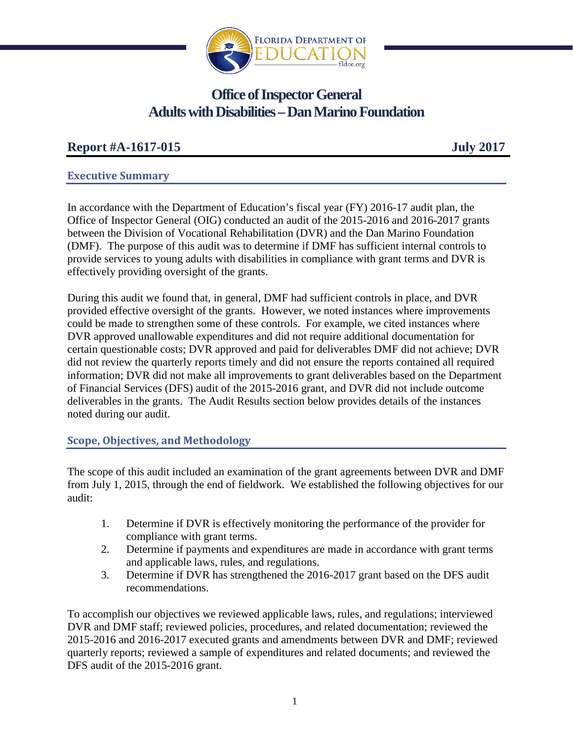

# **Office of Inspector General Adults with Disabilities – Dan Marino Foundation**

## **Report #A-1617-015 July 2017**

### **Executive Summary**

In accordance with the Department of Education's fiscal year (FY) 2016-17 audit plan, the Office of Inspector General (OIG) conducted an audit of the 2015-2016 and 2016-2017 grants between the Division of Vocational Rehabilitation (DVR) and the Dan Marino Foundation (DMF). The purpose of this audit was to determine if DMF has sufficient internal controls to provide services to young adults with disabilities in compliance with grant terms and DVR is effectively providing oversight of the grants.

During this audit we found that, in general, DMF had sufficient controls in place, and DVR provided effective oversight of the grants. However, we noted instances where improvements could be made to strengthen some of these controls. For example, we cited instances where DVR approved unallowable expenditures and did not require additional documentation for certain questionable costs; DVR approved and paid for deliverables DMF did not achieve; DVR did not review the quarterly reports timely and did not ensure the reports contained all required information; DVR did not make all improvements to grant deliverables based on the Department of Financial Services (DFS) audit of the 2015-2016 grant, and DVR did not include outcome deliverables in the grants. The Audit Results section below provides details of the instances noted during our audit.

### **Scope, Objectives, and Methodology**

The scope of this audit included an examination of the grant agreements between DVR and DMF from July 1, 2015, through the end of fieldwork. We established the following objectives for our audit:

- 1. Determine if DVR is effectively monitoring the performance of the provider for compliance with grant terms.
- 2. Determine if payments and expenditures are made in accordance with grant terms and applicable laws, rules, and regulations.
- 3. Determine if DVR has strengthened the 2016-2017 grant based on the DFS audit recommendations.

To accomplish our objectives we reviewed applicable laws, rules, and regulations; interviewed DVR and DMF staff; reviewed policies, procedures, and related documentation; reviewed the 2015-2016 and 2016-2017 executed grants and amendments between DVR and DMF; reviewed quarterly reports; reviewed a sample of expenditures and related documents; and reviewed the DFS audit of the 2015-2016 grant.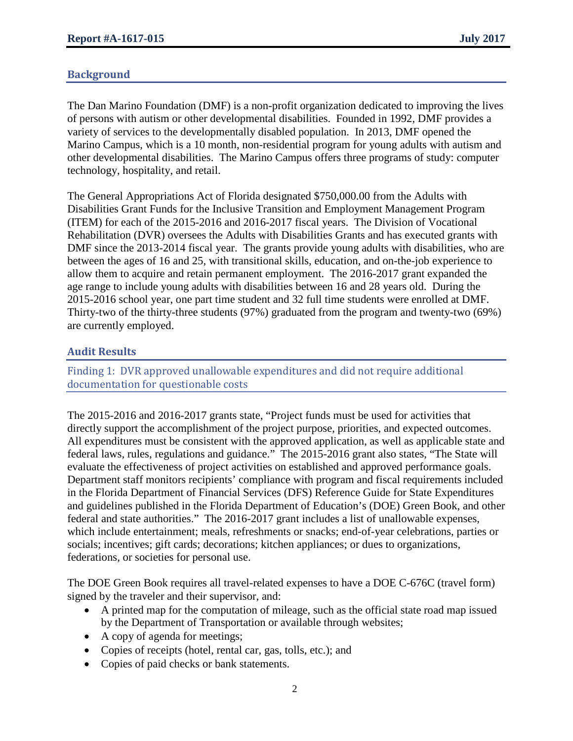### **Background**

The Dan Marino Foundation (DMF) is a non-profit organization dedicated to improving the lives of persons with autism or other developmental disabilities. Founded in 1992, DMF provides a variety of services to the developmentally disabled population. In 2013, DMF opened the Marino Campus, which is a 10 month, non-residential program for young adults with autism and other developmental disabilities. The Marino Campus offers three programs of study: computer technology, hospitality, and retail.

The General Appropriations Act of Florida designated \$750,000.00 from the Adults with Disabilities Grant Funds for the Inclusive Transition and Employment Management Program (ITEM) for each of the 2015-2016 and 2016-2017 fiscal years. The Division of Vocational Rehabilitation (DVR) oversees the Adults with Disabilities Grants and has executed grants with DMF since the 2013-2014 fiscal year. The grants provide young adults with disabilities, who are between the ages of 16 and 25, with transitional skills, education, and on-the-job experience to allow them to acquire and retain permanent employment. The 2016-2017 grant expanded the age range to include young adults with disabilities between 16 and 28 years old. During the 2015-2016 school year, one part time student and 32 full time students were enrolled at DMF. Thirty-two of the thirty-three students (97%) graduated from the program and twenty-two (69%) are currently employed.

### **Audit Results**

Finding 1: DVR approved unallowable expenditures and did not require additional documentation for questionable costs

The 2015-2016 and 2016-2017 grants state, "Project funds must be used for activities that directly support the accomplishment of the project purpose, priorities, and expected outcomes. All expenditures must be consistent with the approved application, as well as applicable state and federal laws, rules, regulations and guidance." The 2015-2016 grant also states, "The State will evaluate the effectiveness of project activities on established and approved performance goals. Department staff monitors recipients' compliance with program and fiscal requirements included in the Florida Department of Financial Services (DFS) Reference Guide for State Expenditures and guidelines published in the Florida Department of Education's (DOE) Green Book, and other federal and state authorities." The 2016-2017 grant includes a list of unallowable expenses, which include entertainment; meals, refreshments or snacks; end-of-year celebrations, parties or socials; incentives; gift cards; decorations; kitchen appliances; or dues to organizations, federations, or societies for personal use.

The DOE Green Book requires all travel-related expenses to have a DOE C-676C (travel form) signed by the traveler and their supervisor, and:

- A printed map for the computation of mileage, such as the official state road map issued by the Department of Transportation or available through websites;
- A copy of agenda for meetings;
- Copies of receipts (hotel, rental car, gas, tolls, etc.); and
- Copies of paid checks or bank statements.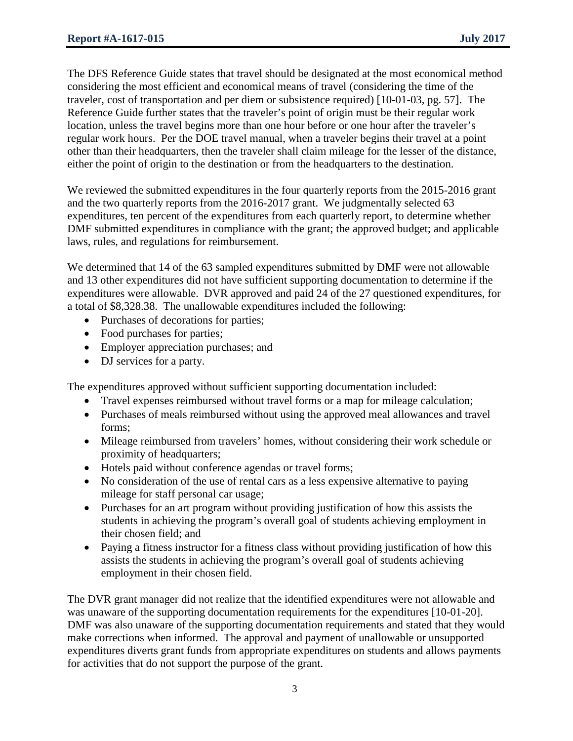The DFS Reference Guide states that travel should be designated at the most economical method considering the most efficient and economical means of travel (considering the time of the traveler, cost of transportation and per diem or subsistence required) [10-01-03, pg. 57]. The Reference Guide further states that the traveler's point of origin must be their regular work location, unless the travel begins more than one hour before or one hour after the traveler's regular work hours. Per the DOE travel manual, when a traveler begins their travel at a point other than their headquarters, then the traveler shall claim mileage for the lesser of the distance, either the point of origin to the destination or from the headquarters to the destination.

We reviewed the submitted expenditures in the four quarterly reports from the 2015-2016 grant and the two quarterly reports from the 2016-2017 grant. We judgmentally selected 63 expenditures, ten percent of the expenditures from each quarterly report, to determine whether DMF submitted expenditures in compliance with the grant; the approved budget; and applicable laws, rules, and regulations for reimbursement.

We determined that 14 of the 63 sampled expenditures submitted by DMF were not allowable and 13 other expenditures did not have sufficient supporting documentation to determine if the expenditures were allowable. DVR approved and paid 24 of the 27 questioned expenditures, for a total of \$8,328.38. The unallowable expenditures included the following:

- Purchases of decorations for parties;
- Food purchases for parties;
- Employer appreciation purchases; and
- DJ services for a party.

The expenditures approved without sufficient supporting documentation included:

- Travel expenses reimbursed without travel forms or a map for mileage calculation;
- Purchases of meals reimbursed without using the approved meal allowances and travel forms;
- Mileage reimbursed from travelers' homes, without considering their work schedule or proximity of headquarters;
- Hotels paid without conference agendas or travel forms;
- No consideration of the use of rental cars as a less expensive alternative to paying mileage for staff personal car usage;
- Purchases for an art program without providing justification of how this assists the students in achieving the program's overall goal of students achieving employment in their chosen field; and
- Paying a fitness instructor for a fitness class without providing justification of how this assists the students in achieving the program's overall goal of students achieving employment in their chosen field.

The DVR grant manager did not realize that the identified expenditures were not allowable and was unaware of the supporting documentation requirements for the expenditures [10-01-20]. DMF was also unaware of the supporting documentation requirements and stated that they would make corrections when informed. The approval and payment of unallowable or unsupported expenditures diverts grant funds from appropriate expenditures on students and allows payments for activities that do not support the purpose of the grant.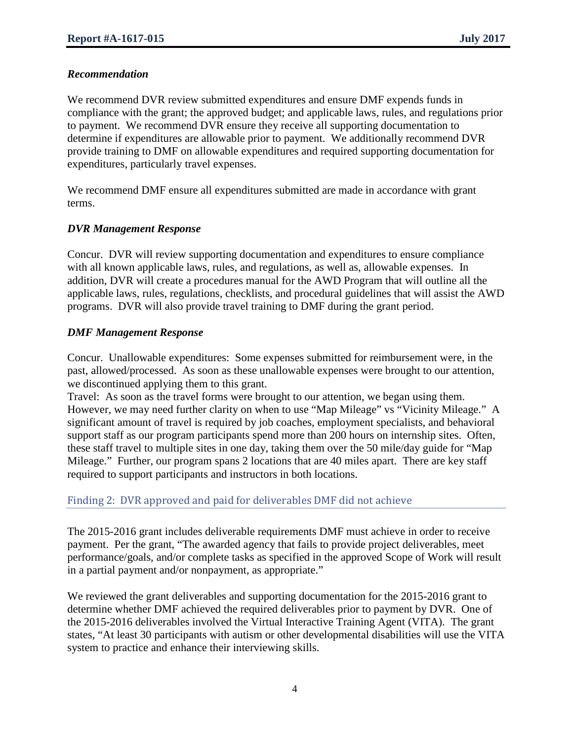### *Recommendation*

We recommend DVR review submitted expenditures and ensure DMF expends funds in compliance with the grant; the approved budget; and applicable laws, rules, and regulations prior to payment. We recommend DVR ensure they receive all supporting documentation to determine if expenditures are allowable prior to payment. We additionally recommend DVR provide training to DMF on allowable expenditures and required supporting documentation for expenditures, particularly travel expenses.

We recommend DMF ensure all expenditures submitted are made in accordance with grant terms.

### *DVR Management Response*

Concur. DVR will review supporting documentation and expenditures to ensure compliance with all known applicable laws, rules, and regulations, as well as, allowable expenses. In addition, DVR will create a procedures manual for the AWD Program that will outline all the applicable laws, rules, regulations, checklists, and procedural guidelines that will assist the AWD programs. DVR will also provide travel training to DMF during the grant period.

### *DMF Management Response*

Concur. Unallowable expenditures: Some expenses submitted for reimbursement were, in the past, allowed/processed. As soon as these unallowable expenses were brought to our attention, we discontinued applying them to this grant.

Travel: As soon as the travel forms were brought to our attention, we began using them. However, we may need further clarity on when to use "Map Mileage" vs "Vicinity Mileage." A significant amount of travel is required by job coaches, employment specialists, and behavioral support staff as our program participants spend more than 200 hours on internship sites. Often, these staff travel to multiple sites in one day, taking them over the 50 mile/day guide for "Map Mileage." Further, our program spans 2 locations that are 40 miles apart. There are key staff required to support participants and instructors in both locations.

### Finding 2: DVR approved and paid for deliverables DMF did not achieve

The 2015-2016 grant includes deliverable requirements DMF must achieve in order to receive payment. Per the grant, "The awarded agency that fails to provide project deliverables, meet performance/goals, and/or complete tasks as specified in the approved Scope of Work will result in a partial payment and/or nonpayment, as appropriate."

We reviewed the grant deliverables and supporting documentation for the 2015-2016 grant to determine whether DMF achieved the required deliverables prior to payment by DVR. One of the 2015-2016 deliverables involved the Virtual Interactive Training Agent (VITA). The grant states, "At least 30 participants with autism or other developmental disabilities will use the VITA system to practice and enhance their interviewing skills.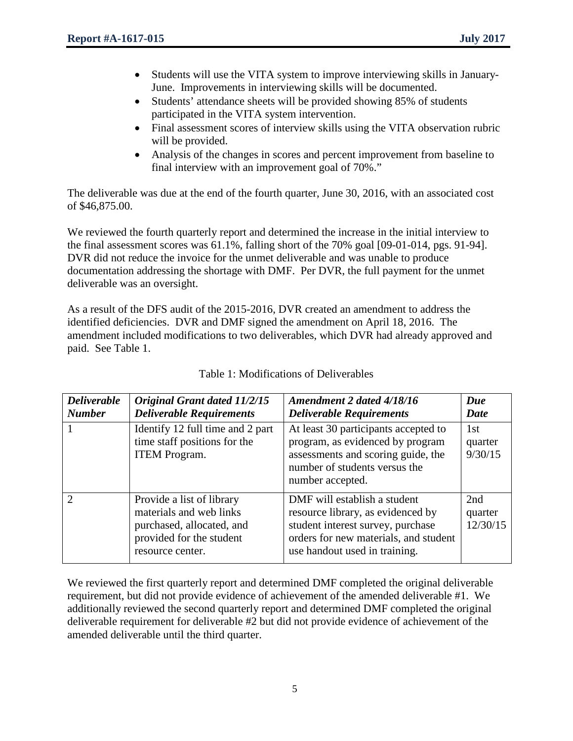- Students will use the VITA system to improve interviewing skills in January-June. Improvements in interviewing skills will be documented.
- Students' attendance sheets will be provided showing 85% of students participated in the VITA system intervention.
- Final assessment scores of interview skills using the VITA observation rubric will be provided.
- Analysis of the changes in scores and percent improvement from baseline to final interview with an improvement goal of 70%."

The deliverable was due at the end of the fourth quarter, June 30, 2016, with an associated cost of \$46,875.00.

We reviewed the fourth quarterly report and determined the increase in the initial interview to the final assessment scores was 61.1%, falling short of the 70% goal [09-01-014, pgs. 91-94]. DVR did not reduce the invoice for the unmet deliverable and was unable to produce documentation addressing the shortage with DMF. Per DVR, the full payment for the unmet deliverable was an oversight.

As a result of the DFS audit of the 2015-2016, DVR created an amendment to address the identified deficiencies. DVR and DMF signed the amendment on April 18, 2016. The amendment included modifications to two deliverables, which DVR had already approved and paid. See Table 1.

| <b>Deliverable</b><br><b>Number</b> | Original Grant dated 11/2/15<br><b>Deliverable Requirements</b>                                                                   | Amendment 2 dated 4/18/16<br><b>Deliverable Requirements</b>                                                                                                                     | Due<br>Date                |
|-------------------------------------|-----------------------------------------------------------------------------------------------------------------------------------|----------------------------------------------------------------------------------------------------------------------------------------------------------------------------------|----------------------------|
|                                     | Identify 12 full time and 2 part<br>time staff positions for the<br><b>ITEM Program.</b>                                          | At least 30 participants accepted to<br>program, as evidenced by program<br>assessments and scoring guide, the<br>number of students versus the<br>number accepted.              | 1st<br>quarter<br>9/30/15  |
| $\mathcal{D}$                       | Provide a list of library<br>materials and web links<br>purchased, allocated, and<br>provided for the student<br>resource center. | DMF will establish a student<br>resource library, as evidenced by<br>student interest survey, purchase<br>orders for new materials, and student<br>use handout used in training. | 2nd<br>quarter<br>12/30/15 |

| Table 1: Modifications of Deliverables |  |
|----------------------------------------|--|
|----------------------------------------|--|

We reviewed the first quarterly report and determined DMF completed the original deliverable requirement, but did not provide evidence of achievement of the amended deliverable #1. We additionally reviewed the second quarterly report and determined DMF completed the original deliverable requirement for deliverable #2 but did not provide evidence of achievement of the amended deliverable until the third quarter.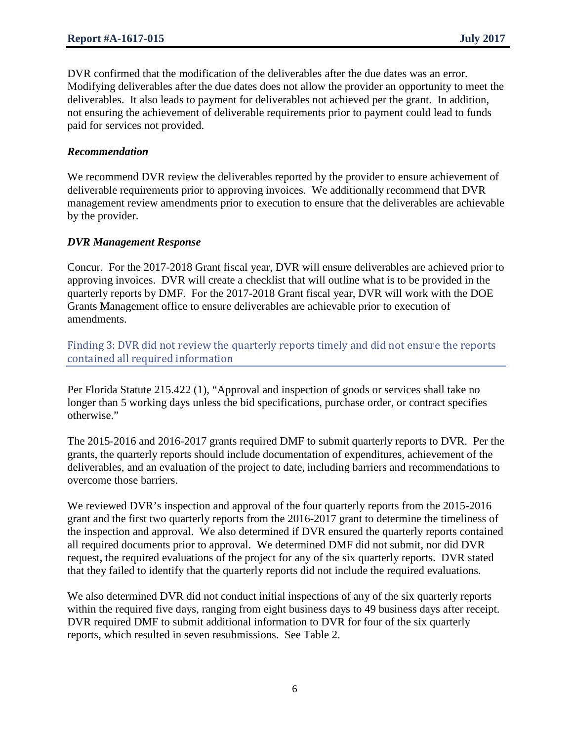DVR confirmed that the modification of the deliverables after the due dates was an error. Modifying deliverables after the due dates does not allow the provider an opportunity to meet the deliverables. It also leads to payment for deliverables not achieved per the grant. In addition, not ensuring the achievement of deliverable requirements prior to payment could lead to funds paid for services not provided.

### *Recommendation*

We recommend DVR review the deliverables reported by the provider to ensure achievement of deliverable requirements prior to approving invoices. We additionally recommend that DVR management review amendments prior to execution to ensure that the deliverables are achievable by the provider.

### *DVR Management Response*

Concur. For the 2017-2018 Grant fiscal year, DVR will ensure deliverables are achieved prior to approving invoices. DVR will create a checklist that will outline what is to be provided in the quarterly reports by DMF. For the 2017-2018 Grant fiscal year, DVR will work with the DOE Grants Management office to ensure deliverables are achievable prior to execution of amendments.

Finding 3: DVR did not review the quarterly reports timely and did not ensure the reports contained all required information

Per Florida Statute 215.422 (1), "Approval and inspection of goods or services shall take no longer than 5 working days unless the bid specifications, purchase order, or contract specifies otherwise."

The 2015-2016 and 2016-2017 grants required DMF to submit quarterly reports to DVR. Per the grants, the quarterly reports should include documentation of expenditures, achievement of the deliverables, and an evaluation of the project to date, including barriers and recommendations to overcome those barriers.

We reviewed DVR's inspection and approval of the four quarterly reports from the 2015-2016 grant and the first two quarterly reports from the 2016-2017 grant to determine the timeliness of the inspection and approval. We also determined if DVR ensured the quarterly reports contained all required documents prior to approval. We determined DMF did not submit, nor did DVR request, the required evaluations of the project for any of the six quarterly reports. DVR stated that they failed to identify that the quarterly reports did not include the required evaluations.

We also determined DVR did not conduct initial inspections of any of the six quarterly reports within the required five days, ranging from eight business days to 49 business days after receipt. DVR required DMF to submit additional information to DVR for four of the six quarterly reports, which resulted in seven resubmissions. See Table 2.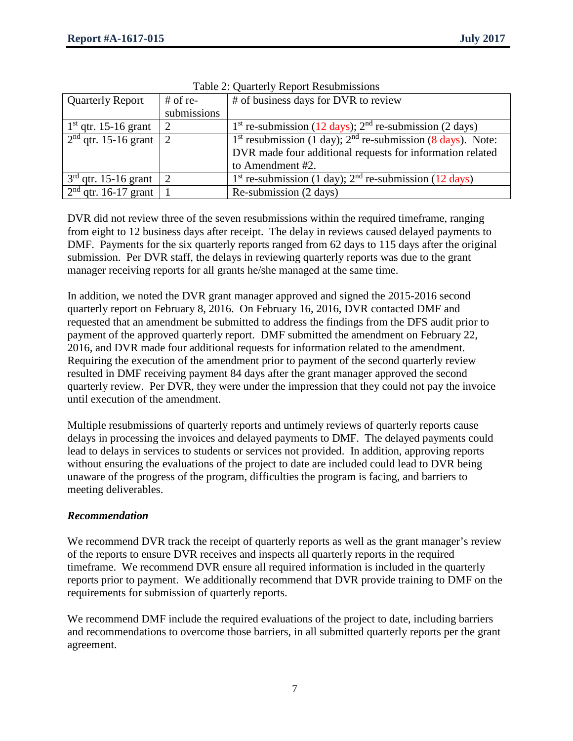| <b>Quarterly Report</b> | $#$ of re-    | # of business days for DVR to review                                  |
|-------------------------|---------------|-----------------------------------------------------------------------|
|                         | submissions   |                                                                       |
| $1st$ qtr. 15-16 grant  |               | 1 <sup>st</sup> re-submission (12 days); $2nd$ re-submission (2 days) |
| $2nd$ qtr. 15-16 grant  | $\mathcal{D}$ | $1st$ resubmission (1 day); $2nd$ re-submission (8 days). Note:       |
|                         |               | DVR made four additional requests for information related             |
|                         |               | to Amendment #2.                                                      |
| $3rd$ qtr. 15-16 grant  | $\mathcal{D}$ | $1st$ re-submission (1 day); $2nd$ re-submission (12 days)            |
| $2nd$ qtr. 16-17 grant  |               | Re-submission (2 days)                                                |

Table 2: Quarterly Report Resubmissions

DVR did not review three of the seven resubmissions within the required timeframe, ranging from eight to 12 business days after receipt. The delay in reviews caused delayed payments to DMF. Payments for the six quarterly reports ranged from 62 days to 115 days after the original submission. Per DVR staff, the delays in reviewing quarterly reports was due to the grant manager receiving reports for all grants he/she managed at the same time.

In addition, we noted the DVR grant manager approved and signed the 2015-2016 second quarterly report on February 8, 2016. On February 16, 2016, DVR contacted DMF and requested that an amendment be submitted to address the findings from the DFS audit prior to payment of the approved quarterly report. DMF submitted the amendment on February 22, 2016, and DVR made four additional requests for information related to the amendment. Requiring the execution of the amendment prior to payment of the second quarterly review resulted in DMF receiving payment 84 days after the grant manager approved the second quarterly review. Per DVR, they were under the impression that they could not pay the invoice until execution of the amendment.

Multiple resubmissions of quarterly reports and untimely reviews of quarterly reports cause delays in processing the invoices and delayed payments to DMF. The delayed payments could lead to delays in services to students or services not provided. In addition, approving reports without ensuring the evaluations of the project to date are included could lead to DVR being unaware of the progress of the program, difficulties the program is facing, and barriers to meeting deliverables.

### *Recommendation*

We recommend DVR track the receipt of quarterly reports as well as the grant manager's review of the reports to ensure DVR receives and inspects all quarterly reports in the required timeframe. We recommend DVR ensure all required information is included in the quarterly reports prior to payment. We additionally recommend that DVR provide training to DMF on the requirements for submission of quarterly reports.

We recommend DMF include the required evaluations of the project to date, including barriers and recommendations to overcome those barriers, in all submitted quarterly reports per the grant agreement.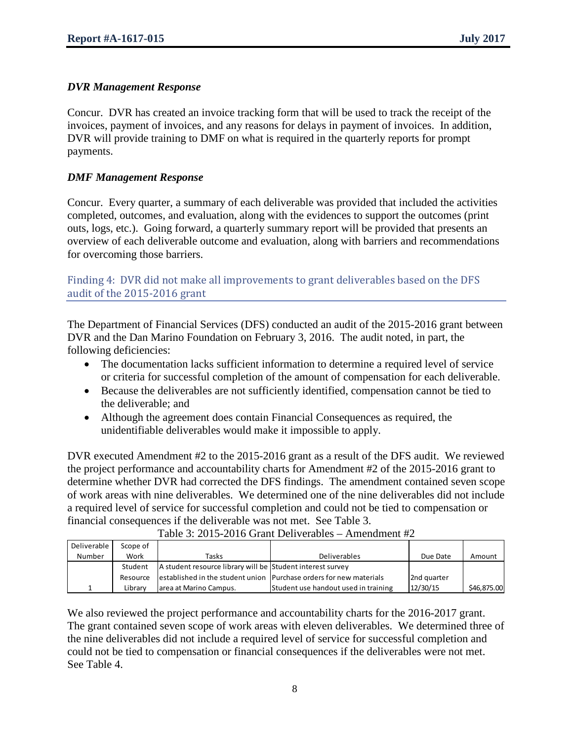### *DVR Management Response*

Concur. DVR has created an invoice tracking form that will be used to track the receipt of the invoices, payment of invoices, and any reasons for delays in payment of invoices. In addition, DVR will provide training to DMF on what is required in the quarterly reports for prompt payments.

### *DMF Management Response*

Concur. Every quarter, a summary of each deliverable was provided that included the activities completed, outcomes, and evaluation, along with the evidences to support the outcomes (print outs, logs, etc.). Going forward, a quarterly summary report will be provided that presents an overview of each deliverable outcome and evaluation, along with barriers and recommendations for overcoming those barriers.

### Finding 4: DVR did not make all improvements to grant deliverables based on the DFS audit of the 2015-2016 grant

The Department of Financial Services (DFS) conducted an audit of the 2015-2016 grant between DVR and the Dan Marino Foundation on February 3, 2016. The audit noted, in part, the following deficiencies:

- The documentation lacks sufficient information to determine a required level of service or criteria for successful completion of the amount of compensation for each deliverable.
- Because the deliverables are not sufficiently identified, compensation cannot be tied to the deliverable; and
- Although the agreement does contain Financial Consequences as required, the unidentifiable deliverables would make it impossible to apply.

DVR executed Amendment #2 to the 2015-2016 grant as a result of the DFS audit. We reviewed the project performance and accountability charts for Amendment #2 of the 2015-2016 grant to determine whether DVR had corrected the DFS findings. The amendment contained seven scope of work areas with nine deliverables. We determined one of the nine deliverables did not include a required level of service for successful completion and could not be tied to compensation or financial consequences if the deliverable was not met. See Table 3.

| Deliverable | Scope of |                                                            |                                                                     |             |             |
|-------------|----------|------------------------------------------------------------|---------------------------------------------------------------------|-------------|-------------|
| Number      | Work     | Tasks                                                      | <b>Deliverables</b>                                                 | Due Date    | Amount      |
|             | Student  | A student resource library will be Student interest survey |                                                                     |             |             |
|             | Resource |                                                            | lestablished in the student union Purchase orders for new materials | 2nd quarter |             |
|             | Library  | larea at Marino Campus.                                    | Student use handout used in training                                | 12/30/15    | \$46,875.00 |

#### Table 3: 2015-2016 Grant Deliverables – Amendment #2

We also reviewed the project performance and accountability charts for the 2016-2017 grant. The grant contained seven scope of work areas with eleven deliverables. We determined three of the nine deliverables did not include a required level of service for successful completion and could not be tied to compensation or financial consequences if the deliverables were not met. See Table 4.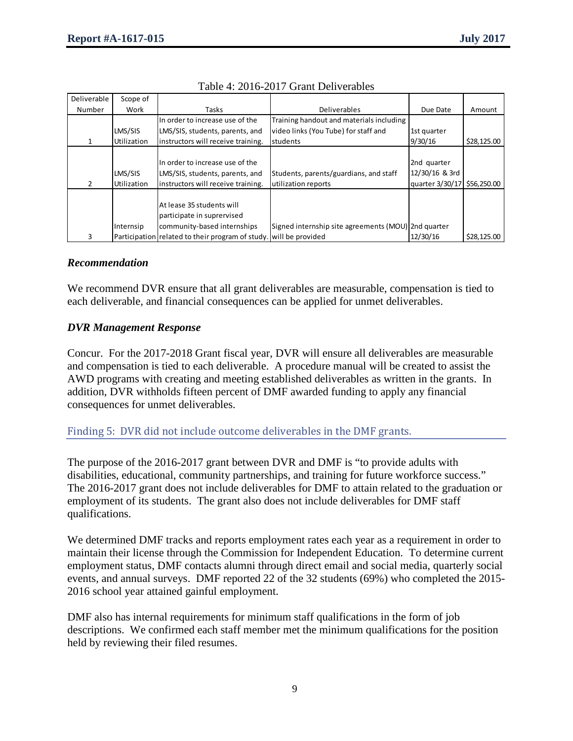| Deliverable | Scope of           |                                                                   |                                                     |                 |             |
|-------------|--------------------|-------------------------------------------------------------------|-----------------------------------------------------|-----------------|-------------|
| Number      | Work               | Tasks                                                             | <b>Deliverables</b>                                 | Due Date        | Amount      |
|             |                    | In order to increase use of the                                   | Training handout and materials including            |                 |             |
|             | LMS/SIS            | LMS/SIS, students, parents, and                                   | video links (You Tube) for staff and                | 1st quarter     |             |
|             | Utilization        | instructors will receive training.                                | students                                            | 9/30/16         | \$28,125.00 |
|             |                    |                                                                   |                                                     |                 |             |
|             |                    | In order to increase use of the                                   |                                                     | 2nd quarter     |             |
|             | LMS/SIS            | LMS/SIS, students, parents, and                                   | Students, parents/guardians, and staff              | 12/30/16 & 3rd  |             |
| 2           | <b>Utilization</b> | instructors will receive training.                                | utilization reports                                 | quarter 3/30/17 | \$56,250.00 |
|             |                    |                                                                   |                                                     |                 |             |
|             |                    | At lease 35 students will                                         |                                                     |                 |             |
|             |                    | participate in suprervised                                        |                                                     |                 |             |
|             | Internsip          | community-based internships                                       | Signed internship site agreements (MOU) 2nd quarter |                 |             |
| 3           |                    | Participation related to their program of study. will be provided |                                                     | 12/30/16        | \$28,125.00 |

### *Recommendation*

We recommend DVR ensure that all grant deliverables are measurable, compensation is tied to each deliverable, and financial consequences can be applied for unmet deliverables.

### *DVR Management Response*

Concur. For the 2017-2018 Grant fiscal year, DVR will ensure all deliverables are measurable and compensation is tied to each deliverable. A procedure manual will be created to assist the AWD programs with creating and meeting established deliverables as written in the grants. In addition, DVR withholds fifteen percent of DMF awarded funding to apply any financial consequences for unmet deliverables.

Finding 5: DVR did not include outcome deliverables in the DMF grants.

The purpose of the 2016-2017 grant between DVR and DMF is "to provide adults with disabilities, educational, community partnerships, and training for future workforce success." The 2016-2017 grant does not include deliverables for DMF to attain related to the graduation or employment of its students. The grant also does not include deliverables for DMF staff qualifications.

We determined DMF tracks and reports employment rates each year as a requirement in order to maintain their license through the Commission for Independent Education. To determine current employment status, DMF contacts alumni through direct email and social media, quarterly social events, and annual surveys. DMF reported 22 of the 32 students (69%) who completed the 2015- 2016 school year attained gainful employment.

DMF also has internal requirements for minimum staff qualifications in the form of job descriptions. We confirmed each staff member met the minimum qualifications for the position held by reviewing their filed resumes.